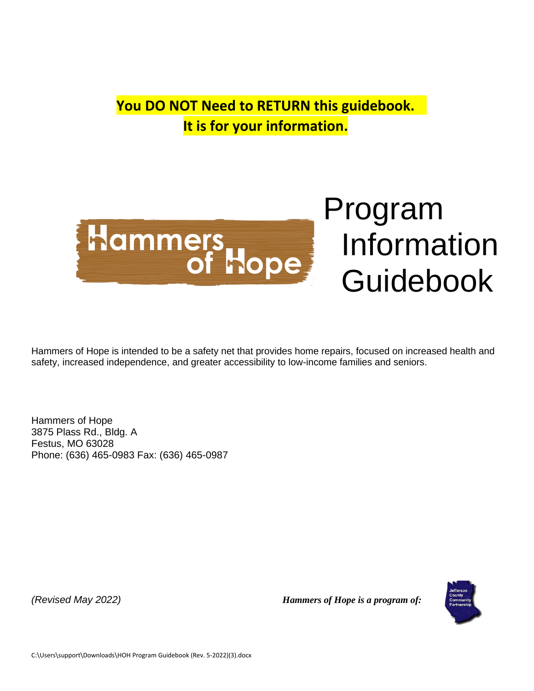**You DO NOT Need to RETURN this guidebook. It is for your information.**



Information Guidebook

Hammers of Hope is intended to be a safety net that provides home repairs, focused on increased health and safety, increased independence, and greater accessibility to low-income families and seniors.

Hammers of Hope 3875 Plass Rd., Bldg. A Festus, MO 63028 Phone: (636) 465-0983 Fax: (636) 465-0987

*(Revised May 2022) Hammers of Hope is a program of:* 

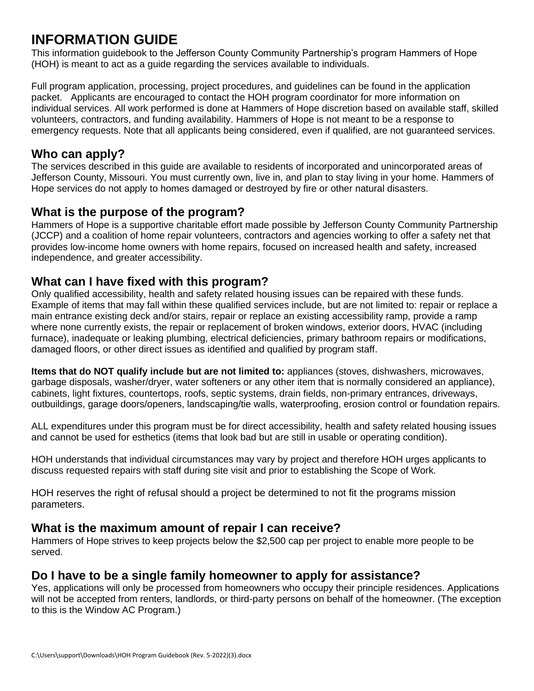## **INFORMATION GUIDE**

This information guidebook to the Jefferson County Community Partnership's program Hammers of Hope (HOH) is meant to act as a guide regarding the services available to individuals.

Full program application, processing, project procedures, and guidelines can be found in the application packet. Applicants are encouraged to contact the HOH program coordinator for more information on individual services. All work performed is done at Hammers of Hope discretion based on available staff, skilled volunteers, contractors, and funding availability. Hammers of Hope is not meant to be a response to emergency requests. Note that all applicants being considered, even if qualified, are not guaranteed services.

#### **Who can apply?**

The services described in this guide are available to residents of incorporated and unincorporated areas of Jefferson County, Missouri. You must currently own, live in, and plan to stay living in your home. Hammers of Hope services do not apply to homes damaged or destroyed by fire or other natural disasters.

#### **What is the purpose of the program?**

Hammers of Hope is a supportive charitable effort made possible by Jefferson County Community Partnership (JCCP) and a coalition of home repair volunteers, contractors and agencies working to offer a safety net that provides low-income home owners with home repairs, focused on increased health and safety, increased independence, and greater accessibility.

#### **What can I have fixed with this program?**

Only qualified accessibility, health and safety related housing issues can be repaired with these funds. Example of items that may fall within these qualified services include, but are not limited to: repair or replace a main entrance existing deck and/or stairs, repair or replace an existing accessibility ramp, provide a ramp where none currently exists, the repair or replacement of broken windows, exterior doors, HVAC (including furnace), inadequate or leaking plumbing, electrical deficiencies, primary bathroom repairs or modifications, damaged floors, or other direct issues as identified and qualified by program staff.

**Items that do NOT qualify include but are not limited to:** appliances (stoves, dishwashers, microwaves, garbage disposals, washer/dryer, water softeners or any other item that is normally considered an appliance), cabinets, light fixtures, countertops, roofs, septic systems, drain fields, non-primary entrances, driveways, outbuildings, garage doors/openers, landscaping/tie walls, waterproofing, erosion control or foundation repairs.

ALL expenditures under this program must be for direct accessibility, health and safety related housing issues and cannot be used for esthetics (items that look bad but are still in usable or operating condition).

HOH understands that individual circumstances may vary by project and therefore HOH urges applicants to discuss requested repairs with staff during site visit and prior to establishing the Scope of Work.

HOH reserves the right of refusal should a project be determined to not fit the programs mission parameters.

#### **What is the maximum amount of repair I can receive?**

Hammers of Hope strives to keep projects below the \$2,500 cap per project to enable more people to be served.

#### **Do I have to be a single family homeowner to apply for assistance?**

Yes, applications will only be processed from homeowners who occupy their principle residences. Applications will not be accepted from renters, landlords, or third-party persons on behalf of the homeowner. (The exception to this is the Window AC Program.)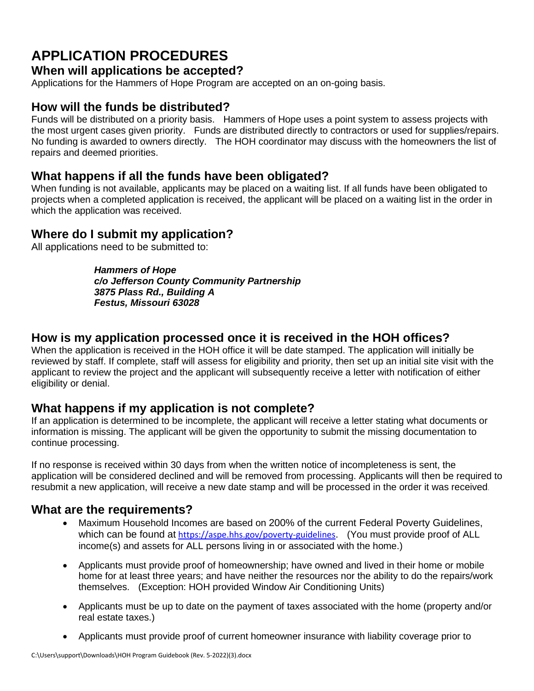# **APPLICATION PROCEDURES**

#### **When will applications be accepted?**

Applications for the Hammers of Hope Program are accepted on an on-going basis.

#### **How will the funds be distributed?**

Funds will be distributed on a priority basis. Hammers of Hope uses a point system to assess projects with the most urgent cases given priority. Funds are distributed directly to contractors or used for supplies/repairs. No funding is awarded to owners directly. The HOH coordinator may discuss with the homeowners the list of repairs and deemed priorities.

#### **What happens if all the funds have been obligated?**

When funding is not available, applicants may be placed on a waiting list. If all funds have been obligated to projects when a completed application is received, the applicant will be placed on a waiting list in the order in which the application was received.

#### **Where do I submit my application?**

All applications need to be submitted to:

*Hammers of Hope c/o Jefferson County Community Partnership 3875 Plass Rd., Building A Festus, Missouri 63028* 

#### **How is my application processed once it is received in the HOH offices?**

When the application is received in the HOH office it will be date stamped. The application will initially be reviewed by staff. If complete, staff will assess for eligibility and priority, then set up an initial site visit with the applicant to review the project and the applicant will subsequently receive a letter with notification of either eligibility or denial.

#### **What happens if my application is not complete?**

If an application is determined to be incomplete, the applicant will receive a letter stating what documents or information is missing. The applicant will be given the opportunity to submit the missing documentation to continue processing.

If no response is received within 30 days from when the written notice of incompleteness is sent, the application will be considered declined and will be removed from processing. Applicants will then be required to resubmit a new application, will receive a new date stamp and will be processed in the order it was received.

#### **What are the requirements?**

- Maximum Household Incomes are based on 200% of the current Federal Poverty Guidelines, which can be found at <https://aspe.hhs.gov/poverty-guidelines>. (You must provide proof of ALL income(s) and assets for ALL persons living in or associated with the home.)
- Applicants must provide proof of homeownership; have owned and lived in their home or mobile home for at least three years; and have neither the resources nor the ability to do the repairs/work themselves. (Exception: HOH provided Window Air Conditioning Units)
- Applicants must be up to date on the payment of taxes associated with the home (property and/or real estate taxes.)
- Applicants must provide proof of current homeowner insurance with liability coverage prior to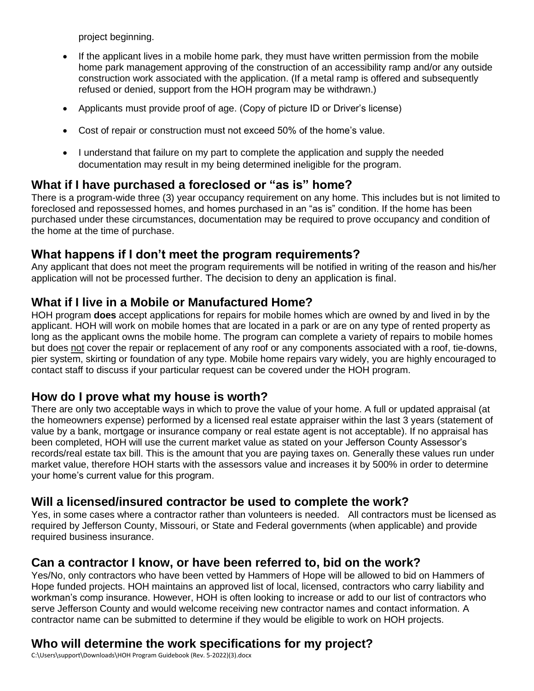project beginning.

- If the applicant lives in a mobile home park, they must have written permission from the mobile home park management approving of the construction of an accessibility ramp and/or any outside construction work associated with the application. (If a metal ramp is offered and subsequently refused or denied, support from the HOH program may be withdrawn.)
- Applicants must provide proof of age. (Copy of picture ID or Driver's license)
- Cost of repair or construction must not exceed 50% of the home's value.
- I understand that failure on my part to complete the application and supply the needed documentation may result in my being determined ineligible for the program.

#### **What if I have purchased a foreclosed or "as is" home?**

There is a program-wide three (3) year occupancy requirement on any home. This includes but is not limited to foreclosed and repossessed homes, and homes purchased in an "as is" condition. If the home has been purchased under these circumstances, documentation may be required to prove occupancy and condition of the home at the time of purchase.

#### **What happens if I don't meet the program requirements?**

Any applicant that does not meet the program requirements will be notified in writing of the reason and his/her application will not be processed further. The decision to deny an application is final.

#### **What if I live in a Mobile or Manufactured Home?**

HOH program **does** accept applications for repairs for mobile homes which are owned by and lived in by the applicant. HOH will work on mobile homes that are located in a park or are on any type of rented property as long as the applicant owns the mobile home. The program can complete a variety of repairs to mobile homes but does not cover the repair or replacement of any roof or any components associated with a roof, tie-downs, pier system, skirting or foundation of any type. Mobile home repairs vary widely, you are highly encouraged to contact staff to discuss if your particular request can be covered under the HOH program.

#### **How do I prove what my house is worth?**

There are only two acceptable ways in which to prove the value of your home. A full or updated appraisal (at the homeowners expense) performed by a licensed real estate appraiser within the last 3 years (statement of value by a bank, mortgage or insurance company or real estate agent is not acceptable). If no appraisal has been completed, HOH will use the current market value as stated on your Jefferson County Assessor's records/real estate tax bill. This is the amount that you are paying taxes on. Generally these values run under market value, therefore HOH starts with the assessors value and increases it by 500% in order to determine your home's current value for this program.

#### **Will a licensed/insured contractor be used to complete the work?**

Yes, in some cases where a contractor rather than volunteers is needed. All contractors must be licensed as required by Jefferson County, Missouri, or State and Federal governments (when applicable) and provide required business insurance.

#### **Can a contractor I know, or have been referred to, bid on the work?**

Yes/No, only contractors who have been vetted by Hammers of Hope will be allowed to bid on Hammers of Hope funded projects. HOH maintains an approved list of local, licensed, contractors who carry liability and workman's comp insurance. However, HOH is often looking to increase or add to our list of contractors who serve Jefferson County and would welcome receiving new contractor names and contact information. A contractor name can be submitted to determine if they would be eligible to work on HOH projects.

### **Who will determine the work specifications for my project?**

C:\Users\support\Downloads\HOH Program Guidebook (Rev. 5-2022)(3).docx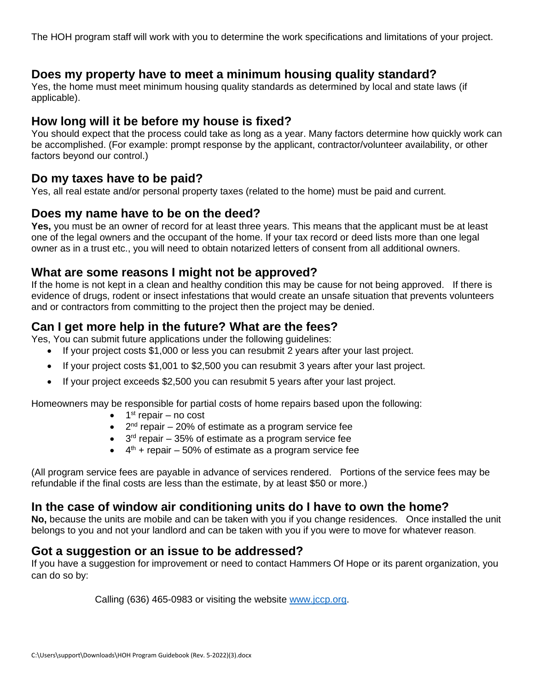The HOH program staff will work with you to determine the work specifications and limitations of your project.

#### **Does my property have to meet a minimum housing quality standard?**

Yes, the home must meet minimum housing quality standards as determined by local and state laws (if applicable).

#### **How long will it be before my house is fixed?**

You should expect that the process could take as long as a year. Many factors determine how quickly work can be accomplished. (For example: prompt response by the applicant, contractor/volunteer availability, or other factors beyond our control.)

#### **Do my taxes have to be paid?**

Yes, all real estate and/or personal property taxes (related to the home) must be paid and current.

#### **Does my name have to be on the deed?**

**Yes,** you must be an owner of record for at least three years. This means that the applicant must be at least one of the legal owners and the occupant of the home. If your tax record or deed lists more than one legal owner as in a trust etc., you will need to obtain notarized letters of consent from all additional owners.

#### **What are some reasons I might not be approved?**

If the home is not kept in a clean and healthy condition this may be cause for not being approved. If there is evidence of drugs, rodent or insect infestations that would create an unsafe situation that prevents volunteers and or contractors from committing to the project then the project may be denied.

#### **Can I get more help in the future? What are the fees?**

Yes, You can submit future applications under the following guidelines:

- If your project costs \$1,000 or less you can resubmit 2 years after your last project.
- If your project costs \$1,001 to \$2,500 you can resubmit 3 years after your last project.
- If your project exceeds \$2,500 you can resubmit 5 years after your last project.

Homeowners may be responsible for partial costs of home repairs based upon the following:

- $\bullet$  1<sup>st</sup> repair no cost
- $\bullet$  2<sup>nd</sup> repair  $-$  20% of estimate as a program service fee
- $\bullet$  3<sup>rd</sup> repair 35% of estimate as a program service fee
- $\bullet$  4<sup>th</sup> + repair 50% of estimate as a program service fee

(All program service fees are payable in advance of services rendered. Portions of the service fees may be refundable if the final costs are less than the estimate, by at least \$50 or more.)

#### **In the case of window air conditioning units do I have to own the home?**

**No,** because the units are mobile and can be taken with you if you change residences. Once installed the unit belongs to you and not your landlord and can be taken with you if you were to move for whatever reason.

#### **Got a suggestion or an issue to be addressed?**

If you have a suggestion for improvement or need to contact Hammers Of Hope or its parent organization, you can do so by:

Calling (636) 465-0983 or visiting the website [www.jccp.org.](http://www.jccp.org/)